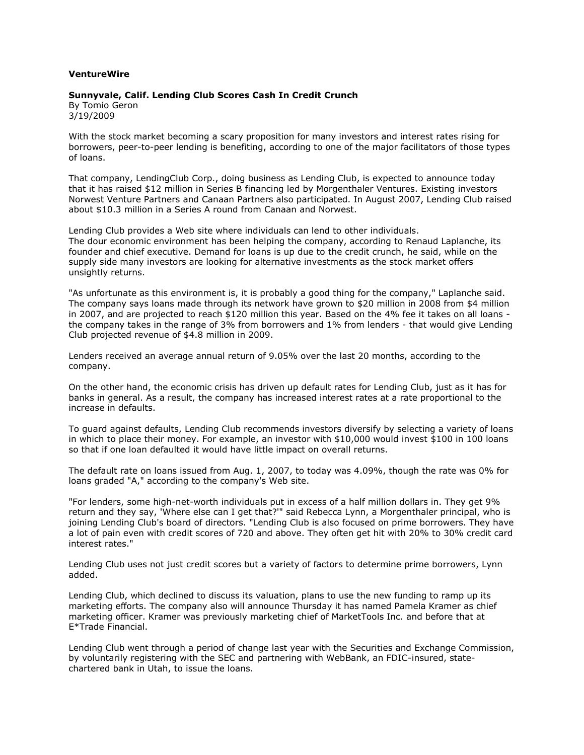## **VentureWire**

## **Sunnyvale, Calif. Lending Club Scores Cash In Credit Crunch**

By Tomio Geron 3/19/2009

With the stock market becoming a scary proposition for many investors and interest rates rising for borrowers, peer-to-peer lending is benefiting, according to one of the major facilitators of those types of loans.

That company, LendingClub Corp., doing business as Lending Club, is expected to announce today that it has raised \$12 million in Series B financing led by Morgenthaler Ventures. Existing investors Norwest Venture Partners and Canaan Partners also participated. In August 2007, Lending Club raised about \$10.3 million in a Series A round from Canaan and Norwest.

Lending Club provides a Web site where individuals can lend to other individuals. The dour economic environment has been helping the company, according to Renaud Laplanche, its founder and chief executive. Demand for loans is up due to the credit crunch, he said, while on the supply side many investors are looking for alternative investments as the stock market offers unsightly returns.

"As unfortunate as this environment is, it is probably a good thing for the company," Laplanche said. The company says loans made through its network have grown to \$20 million in 2008 from \$4 million in 2007, and are projected to reach \$120 million this year. Based on the 4% fee it takes on all loans the company takes in the range of 3% from borrowers and 1% from lenders - that would give Lending Club projected revenue of \$4.8 million in 2009.

Lenders received an average annual return of 9.05% over the last 20 months, according to the company.

On the other hand, the economic crisis has driven up default rates for Lending Club, just as it has for banks in general. As a result, the company has increased interest rates at a rate proportional to the increase in defaults.

To guard against defaults, Lending Club recommends investors diversify by selecting a variety of loans in which to place their money. For example, an investor with \$10,000 would invest \$100 in 100 loans so that if one loan defaulted it would have little impact on overall returns.

The default rate on loans issued from Aug. 1, 2007, to today was 4.09%, though the rate was 0% for loans graded "A," according to the company's Web site.

"For lenders, some high-net-worth individuals put in excess of a half million dollars in. They get 9% return and they say, 'Where else can I get that?'" said Rebecca Lynn, a Morgenthaler principal, who is joining Lending Club's board of directors. "Lending Club is also focused on prime borrowers. They have a lot of pain even with credit scores of 720 and above. They often get hit with 20% to 30% credit card interest rates."

Lending Club uses not just credit scores but a variety of factors to determine prime borrowers, Lynn added.

Lending Club, which declined to discuss its valuation, plans to use the new funding to ramp up its marketing efforts. The company also will announce Thursday it has named Pamela Kramer as chief marketing officer. Kramer was previously marketing chief of MarketTools Inc. and before that at E\*Trade Financial.

Lending Club went through a period of change last year with the Securities and Exchange Commission, by voluntarily registering with the SEC and partnering with WebBank, an FDIC-insured, statechartered bank in Utah, to issue the loans.